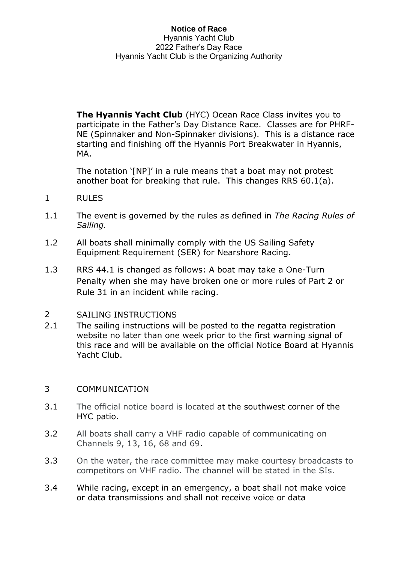**The Hyannis Yacht Club** (HYC) Ocean Race Class invites you to participate in the Father's Day Distance Race. Classes are for PHRF-NE (Spinnaker and Non-Spinnaker divisions). This is a distance race starting and finishing off the Hyannis Port Breakwater in Hyannis, MA.

The notation '[NP]' in a rule means that a boat may not protest another boat for breaking that rule. This changes RRS 60.1(a).

- 1 RULES
- 1.1 The event is governed by the rules as defined in *The Racing Rules of Sailing.*
- 1.2 All boats shall minimally comply with the US Sailing Safety Equipment Requirement (SER) for Nearshore Racing.
- 1.3 RRS 44.1 is changed as follows: A boat may take a One-Turn Penalty when she may have broken one or more rules of Part 2 or Rule 31 in an incident while racing.

## 2 SAILING INSTRUCTIONS

2.1 The sailing instructions will be posted to the regatta registration website no later than one week prior to the first warning signal of this race and will be available on the official Notice Board at Hyannis Yacht Club.

## 3 COMMUNICATION

- 3.1 The official notice board is located at [the](https://hyannisyachtclub.org/racing) southwest corner of the HYC patio.
- 3.2 All boats shall carry a VHF radio capable of communicating on Channels 9, 13, 16, 68 and 69.
- 3.3 On the water, the race committee may make courtesy broadcasts to competitors on VHF radio. The channel will be stated in the SIs.
- 3.4 While racing, except in an emergency, a boat shall not make voice or data transmissions and shall not receive voice or data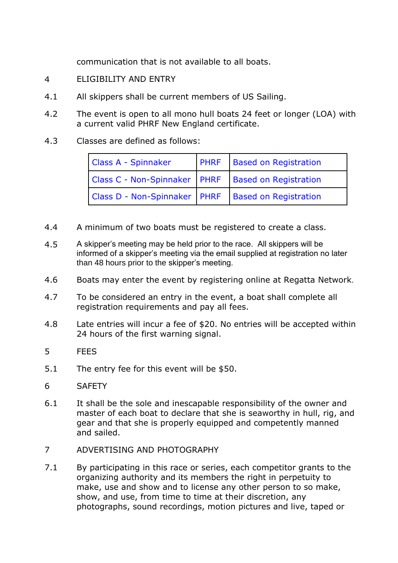communication that is not available to all boats.

- 4 ELIGIBILITY AND ENTRY
- 4.1 All skippers shall be current members of US Sailing.
- 4.2 The event is open to all mono hull boats 24 feet or longer (LOA) with a current valid PHRF New England certificate.
- 4.3 Classes are defined as follows:

| <b>Class A - Spinnaker</b>                             | <b>PHRF</b> Based on Registration |
|--------------------------------------------------------|-----------------------------------|
| Class C - Non-Spinnaker   PHRF   Based on Registration |                                   |
| Class D - Non-Spinnaker   PHRF   Based on Registration |                                   |

- 4.4 A minimum of two boats must be registered to create a class.
- 4.5 A skipper's meeting may be held prior to the race. All skippers will be informed of a skipper's meeting via the email supplied at registration no later than 48 hours prior to the skipper's meeting.
- 4.6 Boats may enter the event by registering online at Regatta Network.
- 4.7 To be considered an entry in the event, a boat shall complete all registration requirements and pay all fees.
- 4.8 Late entries will incur a fee of \$20. No entries will be accepted within 24 hours of the first warning signal.
- 5 FEES
- 5.1 The entry fee for this event will be \$50.
- 6 SAFETY
- 6.1 It shall be the sole and inescapable responsibility of the owner and master of each boat to declare that she is seaworthy in hull, rig, and gear and that she is properly equipped and competently manned and sailed.
- 7 ADVERTISING AND PHOTOGRAPHY
- 7.1 By participating in this race or series, each competitor grants to the organizing authority and its members the right in perpetuity to make, use and show and to license any other person to so make, show, and use, from time to time at their discretion, any photographs, sound recordings, motion pictures and live, taped or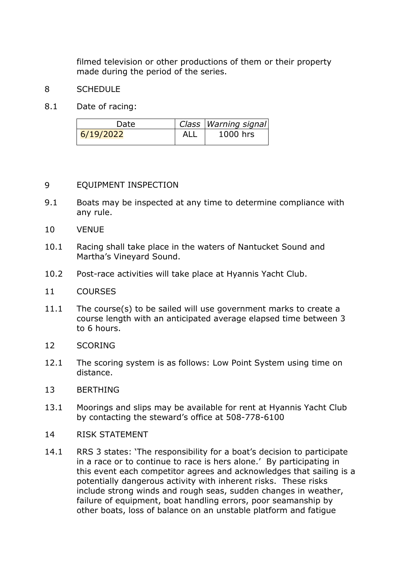filmed television or other productions of them or their property made during the period of the series.

## 8 SCHEDULE

8.1 Date of racing:

| Date      | Class   Warning signal |
|-----------|------------------------|
| 6/19/2022 | 1000 hrs               |

## 9 EQUIPMENT INSPECTION

- 9.1 Boats may be inspected at any time to determine compliance with any rule.
- 10 VENUE
- 10.1 Racing shall take place in the waters of Nantucket Sound and Martha's Vineyard Sound.
- 10.2 Post-race activities will take place at Hyannis Yacht Club.
- 11 COURSES
- 11.1 The course(s) to be sailed will use government marks to create a course length with an anticipated average elapsed time between 3 to 6 hours.
- 12 SCORING
- 12.1 The scoring system is as follows: Low Point System using time on distance.
- 13 BERTHING
- 13.1 Moorings and slips may be available for rent at Hyannis Yacht Club by contacting the steward's office at 508-778-6100
- 14 RISK STATEMENT
- 14.1 RRS 3 states: 'The responsibility for a boat's decision to participate in a race or to continue to race is hers alone.' By participating in this event each competitor agrees and acknowledges that sailing is a potentially dangerous activity with inherent risks. These risks include strong winds and rough seas, sudden changes in weather, failure of equipment, boat handling errors, poor seamanship by other boats, loss of balance on an unstable platform and fatigue